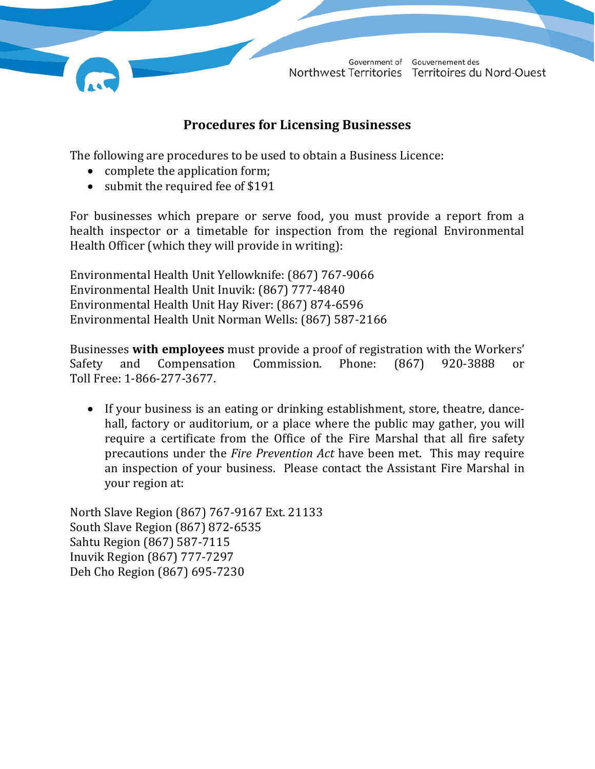

## **Procedures for Licensing Businesses**

The following are procedures to be used to obtain a Business Licence:

- complete the application form;
- submit the required fee of \$191

For businesses which prepare or serve food, you must provide a report from a health inspector or a timetable for inspection from the regional Environmental Health Officer (which they will provide in writing):

Environmental Health Unit Yellowknife: (867) 767-9066 Environmental Health Unit Inuvik: (867) 777-4840 Environmental Health Unit Hay River: (867) 874-6596 Environmental Health Unit Norman Wells: (867) 587-2166

Businesses **with employees** must provide a proof of registration with the Workers' Compensation Commission. Phone: (867) 920-3888 or Toll Free: 1-866-277-3677.

• If your business is an eating or drinking establishment, store, theatre, dancehall, factory or auditorium, or a place where the public may gather, you will require a certificate from the Office of the Fire Marshal that all fire safety precautions under the *Fire Prevention Act* have been met. This may require an inspection of your business. Please contact the Assistant Fire Marshal in your region at:

North Slave Region (867) 767-9167 Ext. 21133 South Slave Region (867) 872-6535 Sahtu Region (867) 587-7115 Inuvik Region (867) 777-7297 Deh Cho Region (867) 695-7230